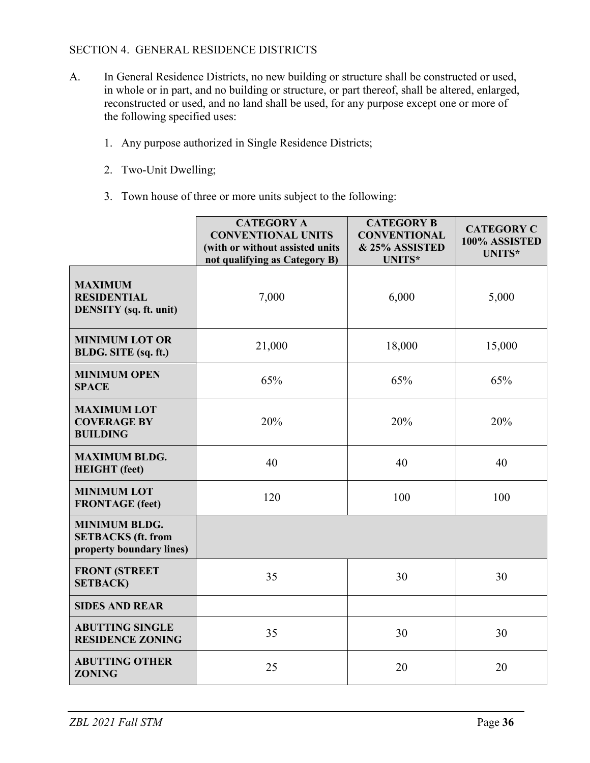## SECTION 4. GENERAL RESIDENCE DISTRICTS

- A. In General Residence Districts, no new building or structure shall be constructed or used, in whole or in part, and no building or structure, or part thereof, shall be altered, enlarged, reconstructed or used, and no land shall be used, for any purpose except one or more of the following specified uses:
	- 1. Any purpose authorized in Single Residence Districts;
	- 2. Two-Unit Dwelling;
	- 3. Town house of three or more units subject to the following:

|                                                                               | <b>CATEGORY A</b><br><b>CONVENTIONAL UNITS</b><br>(with or without assisted units<br>not qualifying as Category B) | <b>CATEGORY B</b><br><b>CONVENTIONAL</b><br>& 25% ASSISTED<br><b>UNITS*</b> | <b>CATEGORY C</b><br>100% ASSISTED<br>UNITS* |
|-------------------------------------------------------------------------------|--------------------------------------------------------------------------------------------------------------------|-----------------------------------------------------------------------------|----------------------------------------------|
| <b>MAXIMUM</b><br><b>RESIDENTIAL</b><br><b>DENSITY</b> (sq. ft. unit)         | 7,000                                                                                                              | 6,000                                                                       | 5,000                                        |
| <b>MINIMUM LOT OR</b><br>BLDG. SITE (sq. ft.)                                 | 21,000                                                                                                             | 18,000                                                                      | 15,000                                       |
| <b>MINIMUM OPEN</b><br><b>SPACE</b>                                           | 65%                                                                                                                | 65%                                                                         | 65%                                          |
| <b>MAXIMUM LOT</b><br><b>COVERAGE BY</b><br><b>BUILDING</b>                   | 20%                                                                                                                | 20%                                                                         | 20%                                          |
| <b>MAXIMUM BLDG.</b><br><b>HEIGHT</b> (feet)                                  | 40                                                                                                                 | 40                                                                          | 40                                           |
| <b>MINIMUM LOT</b><br><b>FRONTAGE</b> (feet)                                  | 120                                                                                                                | 100                                                                         | 100                                          |
| <b>MINIMUM BLDG.</b><br><b>SETBACKS</b> (ft. from<br>property boundary lines) |                                                                                                                    |                                                                             |                                              |
| <b>FRONT (STREET</b><br><b>SETBACK)</b>                                       | 35                                                                                                                 | 30                                                                          | 30                                           |
| <b>SIDES AND REAR</b>                                                         |                                                                                                                    |                                                                             |                                              |
| <b>ABUTTING SINGLE</b><br><b>RESIDENCE ZONING</b>                             | 35                                                                                                                 | 30                                                                          | 30                                           |
| <b>ABUTTING OTHER</b><br><b>ZONING</b>                                        | 25                                                                                                                 | 20                                                                          | 20                                           |